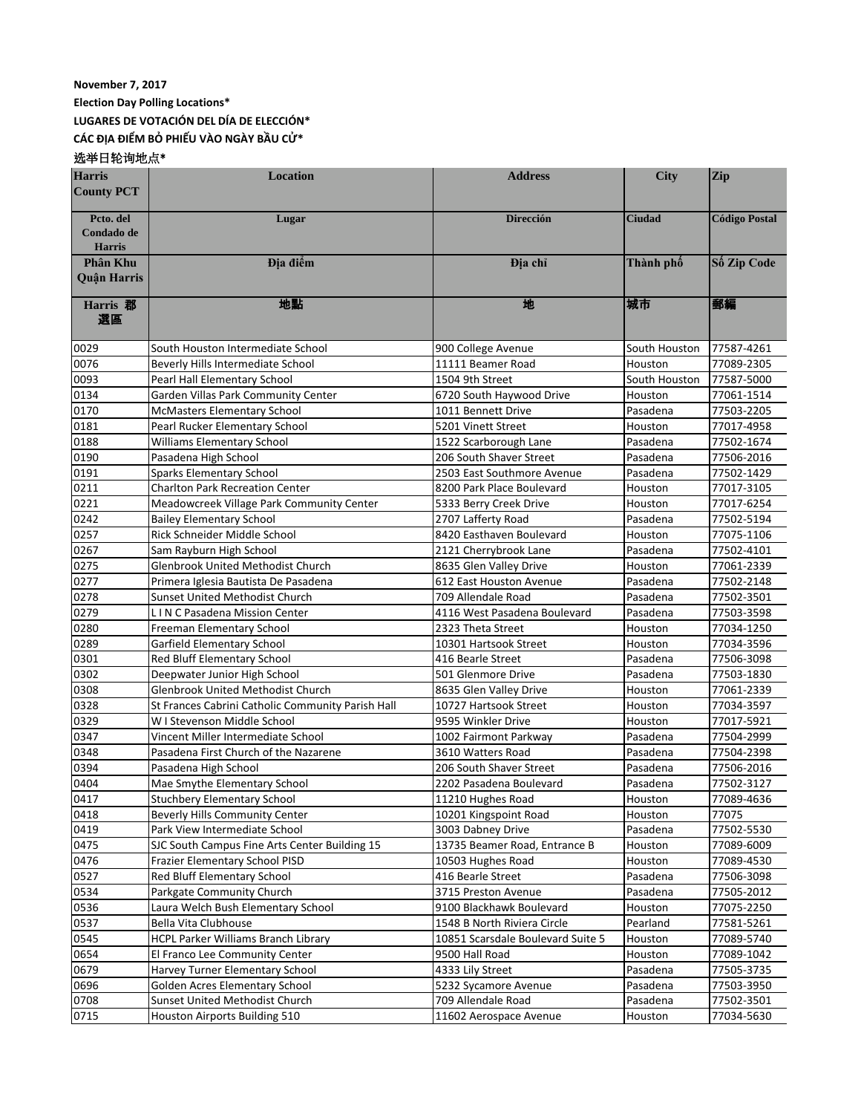## **November 7, 2017**

**Election Day Polling Locations\***

**LUGARES DE VOTACIÓN DEL DÍA DE ELECCIÓN\***

**CÁC ĐỊA ĐIỂM BỎ PHIẾU VÀO NGÀY BẦU CỬ\***

## 选举日轮询地点\*

| <b>Harris</b><br><b>County PCT</b> | <b>Location</b>                                               | <b>Address</b>                               | <b>City</b>          | <b>Zip</b>               |
|------------------------------------|---------------------------------------------------------------|----------------------------------------------|----------------------|--------------------------|
|                                    |                                                               |                                              |                      |                          |
| Pcto. del                          | Lugar                                                         | <b>Dirección</b>                             | <b>Ciudad</b>        | <b>Código Postal</b>     |
| Condado de<br><b>Harris</b>        |                                                               |                                              |                      |                          |
| Phân Khu                           | Địa điểm                                                      | Địa chỉ                                      | Thành phố            | Số Zip Code              |
| <b>Ouân Harris</b>                 |                                                               |                                              |                      |                          |
|                                    |                                                               |                                              |                      |                          |
| <b>Harris</b> 郡<br>選區              | 地點                                                            | 地                                            | 城市                   | 郵編                       |
| 0029                               | South Houston Intermediate School                             | 900 College Avenue                           | South Houston        | 77587-4261               |
| 0076                               | Beverly Hills Intermediate School                             | 11111 Beamer Road                            | Houston              | 77089-2305               |
| 0093                               | Pearl Hall Elementary School                                  | 1504 9th Street                              | South Houston        | 77587-5000               |
| 0134                               | Garden Villas Park Community Center                           | 6720 South Haywood Drive                     | Houston              | 77061-1514               |
| 0170                               | <b>McMasters Elementary School</b>                            | 1011 Bennett Drive                           | Pasadena             | 77503-2205               |
| 0181                               | Pearl Rucker Elementary School                                | 5201 Vinett Street                           | Houston              | 77017-4958               |
| 0188                               | Williams Elementary School                                    | 1522 Scarborough Lane                        | Pasadena             | 77502-1674               |
| 0190                               | Pasadena High School                                          | 206 South Shaver Street                      | Pasadena             | 77506-2016               |
| 0191                               | <b>Sparks Elementary School</b>                               | 2503 East Southmore Avenue                   | Pasadena             | 77502-1429               |
| 0211                               | <b>Charlton Park Recreation Center</b>                        | 8200 Park Place Boulevard                    | Houston              | 77017-3105               |
| 0221                               | Meadowcreek Village Park Community Center                     | 5333 Berry Creek Drive                       | Houston              | 77017-6254               |
| 0242                               | <b>Bailey Elementary School</b>                               | 2707 Lafferty Road                           | Pasadena             | 77502-5194               |
| 0257                               | Rick Schneider Middle School                                  | 8420 Easthaven Boulevard                     | Houston              | 77075-1106               |
| 0267                               | Sam Rayburn High School                                       | 2121 Cherrybrook Lane                        | Pasadena             | 77502-4101               |
| 0275                               | <b>Glenbrook United Methodist Church</b>                      | 8635 Glen Valley Drive                       | Houston              | 77061-2339               |
| 0277                               | Primera Iglesia Bautista De Pasadena                          | 612 East Houston Avenue                      | Pasadena             | 77502-2148               |
| 0278                               | Sunset United Methodist Church                                | 709 Allendale Road                           | Pasadena             | 77502-3501               |
| 0279                               | L IN C Pasadena Mission Center                                | 4116 West Pasadena Boulevard                 | Pasadena             | 77503-3598               |
| 0280                               | Freeman Elementary School                                     | 2323 Theta Street                            | Houston              | 77034-1250               |
| 0289                               | Garfield Elementary School                                    | 10301 Hartsook Street                        | Houston              | 77034-3596               |
| 0301                               | Red Bluff Elementary School                                   | 416 Bearle Street                            | Pasadena             | 77506-3098               |
| 0302                               | Deepwater Junior High School                                  | 501 Glenmore Drive                           | Pasadena             | 77503-1830               |
| 0308                               | Glenbrook United Methodist Church                             | 8635 Glen Valley Drive                       | Houston              | 77061-2339               |
| 0328                               | St Frances Cabrini Catholic Community Parish Hall             | 10727 Hartsook Street                        | Houston              | 77034-3597               |
| 0329                               | W I Stevenson Middle School                                   | 9595 Winkler Drive                           | Houston              | 77017-5921               |
| 0347                               | Vincent Miller Intermediate School                            | 1002 Fairmont Parkway                        | Pasadena             | 77504-2999               |
| 0348<br>0394                       | Pasadena First Church of the Nazarene                         | 3610 Watters Road<br>206 South Shaver Street | Pasadena             | 77504-2398               |
| 0404                               | Pasadena High School<br>Mae Smythe Elementary School          | 2202 Pasadena Boulevard                      | Pasadena<br>Pasadena | 77506-2016<br>77502-3127 |
| 0417                               |                                                               | 11210 Hughes Road                            | Houston              | 77089-4636               |
| 0418                               | Stuchbery Elementary School<br>Beverly Hills Community Center | 10201 Kingspoint Road                        | Houston              | 77075                    |
| 0419                               | Park View Intermediate School                                 | 3003 Dabney Drive                            | Pasadena             | 77502-5530               |
| 0475                               | SJC South Campus Fine Arts Center Building 15                 | 13735 Beamer Road, Entrance B                | Houston              | 77089-6009               |
| 0476                               | Frazier Elementary School PISD                                | 10503 Hughes Road                            | Houston              | 77089-4530               |
| 0527                               | Red Bluff Elementary School                                   | 416 Bearle Street                            | Pasadena             | 77506-3098               |
| 0534                               | Parkgate Community Church                                     | 3715 Preston Avenue                          | Pasadena             | 77505-2012               |
| 0536                               | Laura Welch Bush Elementary School                            | 9100 Blackhawk Boulevard                     | Houston              | 77075-2250               |
| 0537                               | Bella Vita Clubhouse                                          | 1548 B North Riviera Circle                  | Pearland             | 77581-5261               |
| 0545                               | HCPL Parker Williams Branch Library                           | 10851 Scarsdale Boulevard Suite 5            | Houston              | 77089-5740               |
| 0654                               | El Franco Lee Community Center                                | 9500 Hall Road                               | Houston              | 77089-1042               |
| 0679                               | Harvey Turner Elementary School                               | 4333 Lily Street                             | Pasadena             | 77505-3735               |
| 0696                               | Golden Acres Elementary School                                | 5232 Sycamore Avenue                         | Pasadena             | 77503-3950               |
| 0708                               | Sunset United Methodist Church                                | 709 Allendale Road                           | Pasadena             | 77502-3501               |
| 0715                               | Houston Airports Building 510                                 | 11602 Aerospace Avenue                       | Houston              | 77034-5630               |